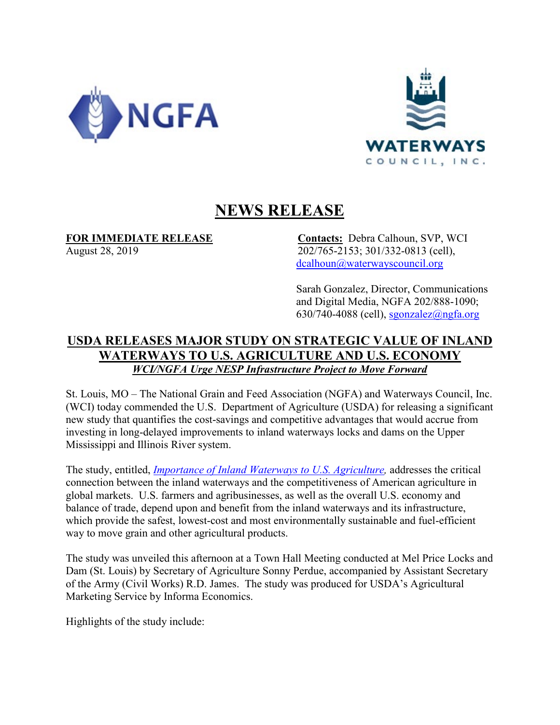



## **NEWS RELEASE**

**FOR IMMEDIATE RELEASE Contacts:** Debra Calhoun, SVP, WCI August 28, 2019 202/765-2153; 301/332-0813 (cell), [dcalhoun@waterwayscouncil.org](mailto:dcalhoun@waterwayscouncil.org)

> Sarah Gonzalez, Director, Communications and Digital Media, NGFA 202/888-1090;  $630/740-4088$  (cell), [sgonzalez@ngfa.org](mailto:sgonzalez@ngfa.org)

## **USDA RELEASES MAJOR STUDY ON STRATEGIC VALUE OF INLAND WATERWAYS TO U.S. AGRICULTURE AND U.S. ECONOMY**  *WCI/NGFA Urge NESP Infrastructure Project to Move Forward*

St. Louis, MO – The National Grain and Feed Association (NGFA) and Waterways Council, Inc. (WCI) today commended the U.S. Department of Agriculture (USDA) for releasing a significant new study that quantifies the cost-savings and competitive advantages that would accrue from investing in long-delayed improvements to inland waterways locks and dams on the Upper Mississippi and Illinois River system.

The study, entitled, *[Importance of Inland Waterways to U.S. Agriculture,](https://www.ams.usda.gov/sites/default/files/media/ImportanceofInlandWaterwaystoUSAgricultureFullReport.pdf)* addresses the critical connection between the inland waterways and the competitiveness of American agriculture in global markets. U.S. farmers and agribusinesses, as well as the overall U.S. economy and balance of trade, depend upon and benefit from the inland waterways and its infrastructure, which provide the safest, lowest-cost and most environmentally sustainable and fuel-efficient way to move grain and other agricultural products.

The study was unveiled this afternoon at a Town Hall Meeting conducted at Mel Price Locks and Dam (St. Louis) by Secretary of Agriculture Sonny Perdue, accompanied by Assistant Secretary of the Army (Civil Works) R.D. James. The study was produced for USDA's Agricultural Marketing Service by Informa Economics.

Highlights of the study include: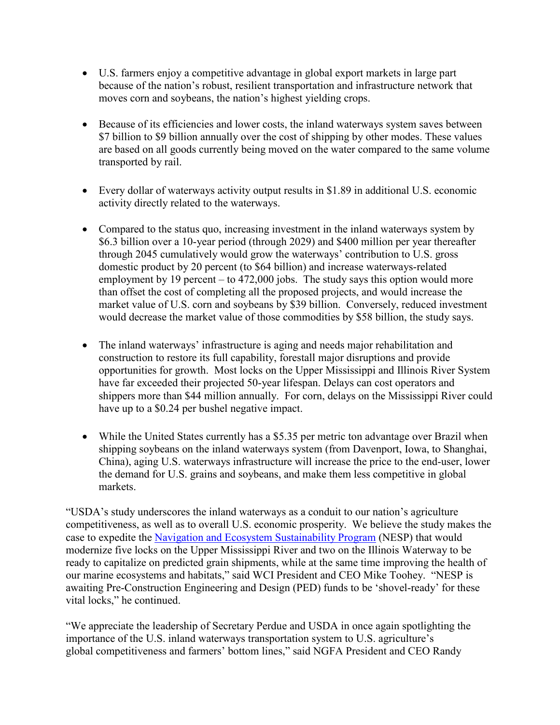- U.S. farmers enjoy a competitive advantage in global export markets in large part because of the nation's robust, resilient transportation and infrastructure network that moves corn and soybeans, the nation's highest yielding crops.
- Because of its efficiencies and lower costs, the inland waterways system saves between \$7 billion to \$9 billion annually over the cost of shipping by other modes. These values are based on all goods currently being moved on the water compared to the same volume transported by rail.
- Every dollar of waterways activity output results in \$1.89 in additional U.S. economic activity directly related to the waterways.
- Compared to the status quo, increasing investment in the inland waterways system by \$6.3 billion over a 10-year period (through 2029) and \$400 million per year thereafter through 2045 cumulatively would grow the waterways' contribution to U.S. gross domestic product by 20 percent (to \$64 billion) and increase waterways-related employment by 19 percent – to 472,000 jobs. The study says this option would more than offset the cost of completing all the proposed projects, and would increase the market value of U.S. corn and soybeans by \$39 billion. Conversely, reduced investment would decrease the market value of those commodities by \$58 billion, the study says.
- The inland waterways' infrastructure is aging and needs major rehabilitation and construction to restore its full capability, forestall major disruptions and provide opportunities for growth. Most locks on the Upper Mississippi and Illinois River System have far exceeded their projected 50-year lifespan. Delays can cost operators and shippers more than \$44 million annually. For corn, delays on the Mississippi River could have up to a \$0.24 per bushel negative impact.
- While the United States currently has a \$5.35 per metric ton advantage over Brazil when shipping soybeans on the inland waterways system (from Davenport, Iowa, to Shanghai, China), aging U.S. waterways infrastructure will increase the price to the end-user, lower the demand for U.S. grains and soybeans, and make them less competitive in global markets.

"USDA's study underscores the inland waterways as a conduit to our nation's agriculture competitiveness, as well as to overall U.S. economic prosperity. We believe the study makes the case to expedite the [Navigation and Ecosystem Sustainability Program](https://waterwayscouncil.org/file/10/NA-Freshwater-NESP-2018-Factsheetfinal.pdf) (NESP) that would modernize five locks on the Upper Mississippi River and two on the Illinois Waterway to be ready to capitalize on predicted grain shipments, while at the same time improving the health of our marine ecosystems and habitats," said WCI President and CEO Mike Toohey. "NESP is awaiting Pre-Construction Engineering and Design (PED) funds to be 'shovel-ready' for these vital locks," he continued.

"We appreciate the leadership of Secretary Perdue and USDA in once again spotlighting the importance of the U.S. inland waterways transportation system to U.S. agriculture's global competitiveness and farmers' bottom lines," said NGFA President and CEO Randy